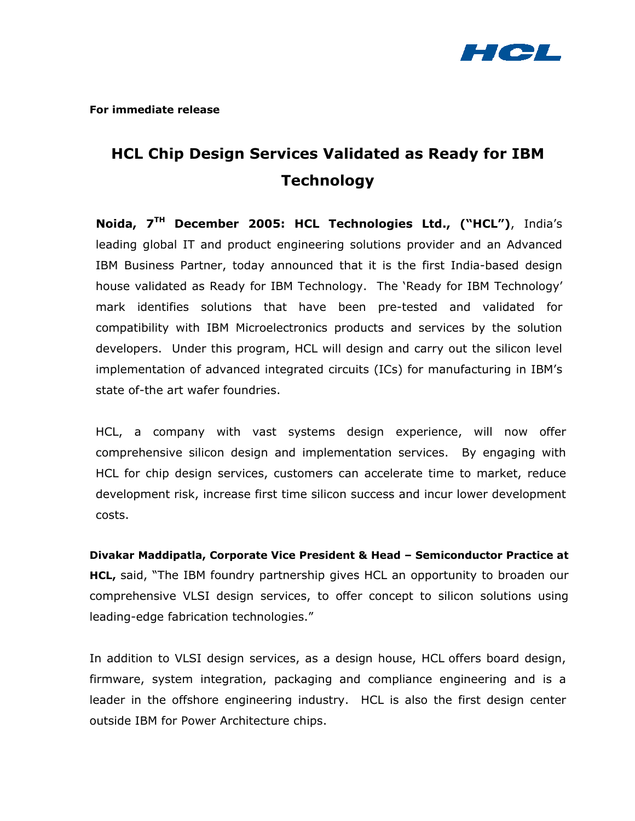

**For immediate release** 

# **HCL Chip Design Services Validated as Ready for IBM Technology**

**Noida, 7TH December 2005: HCL Technologies Ltd., ("HCL")**, India's leading global IT and product engineering solutions provider and an Advanced IBM Business Partner, today announced that it is the first India-based design house validated as Ready for IBM Technology. The 'Ready for IBM Technology' mark identifies solutions that have been pre-tested and validated for compatibility with IBM Microelectronics products and services by the solution developers. Under this program, HCL will design and carry out the silicon level implementation of advanced integrated circuits (ICs) for manufacturing in IBM's state of-the art wafer foundries.

HCL, a company with vast systems design experience, will now offer comprehensive silicon design and implementation services. By engaging with HCL for chip design services, customers can accelerate time to market, reduce development risk, increase first time silicon success and incur lower development costs.

**Divakar Maddipatla, Corporate Vice President & Head – Semiconductor Practice at HCL,** said, "The IBM foundry partnership gives HCL an opportunity to broaden our comprehensive VLSI design services, to offer concept to silicon solutions using leading-edge fabrication technologies."

In addition to VLSI design services, as a design house, HCL offers board design, firmware, system integration, packaging and compliance engineering and is a leader in the offshore engineering industry. HCL is also the first design center outside IBM for Power Architecture chips.